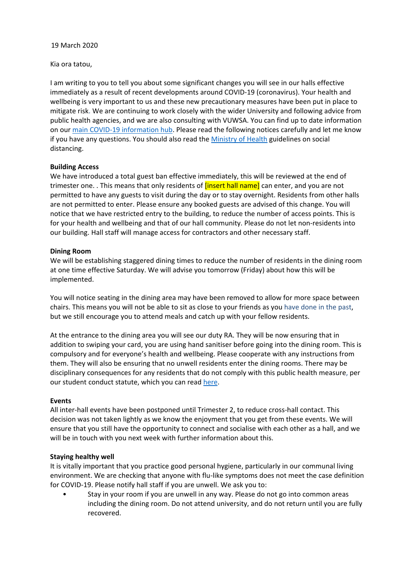Kia ora tatou,

I am writing to you to tell you about some significant changes you will see in our halls effective immediately as a result of recent developments around COVID-19 (coronavirus). Your health and wellbeing is very important to us and these new precautionary measures have been put in place to mitigate risk. We are continuing to work closely with the wider University and following advice from public health agencies, and we are also consulting with VUWSA. You can find up to date information on our main COVID‐19 information hub. Please read the following notices carefully and let me know if you have any questions. You should also read the Ministry of Health guidelines on social distancing.

### **Building Access**

We have introduced a total guest ban effective immediately, this will be reviewed at the end of trimester one. . This means that only residents of *[insert hall name]* can enter, and you are not permitted to have any guests to visit during the day or to stay overnight. Residents from other halls are not permitted to enter. Please ensure any booked guests are advised of this change. You will notice that we have restricted entry to the building, to reduce the number of access points. This is for your health and wellbeing and that of our hall community. Please do not let non-residents into our building. Hall staff will manage access for contractors and other necessary staff.

### **Dining Room**

We will be establishing staggered dining times to reduce the number of residents in the dining room at one time effective Saturday. We will advise you tomorrow (Friday) about how this will be implemented.

You will notice seating in the dining area may have been removed to allow for more space between chairs. This means you will not be able to sit as close to your friends as you have done in the past, but we still encourage you to attend meals and catch up with your fellow residents.

At the entrance to the dining area you will see our duty RA. They will be now ensuring that in addition to swiping your card, you are using hand sanitiser before going into the dining room. This is compulsory and for everyone's health and wellbeing. Please cooperate with any instructions from them. They will also be ensuring that no unwell residents enter the dining rooms. There may be disciplinary consequences for any residents that do not comply with this public health measure, per our student conduct statute, which you can read here.

### **Events**

All inter-hall events have been postponed until Trimester 2, to reduce cross-hall contact. This decision was not taken lightly as we know the enjoyment that you get from these events. We will ensure that you still have the opportunity to connect and socialise with each other as a hall, and we will be in touch with you next week with further information about this.

### **Staying healthy well**

It is vitally important that you practice good personal hygiene, particularly in our communal living environment. We are checking that anyone with flu-like symptoms does not meet the case definition for COVID‐19. Please notify hall staff if you are unwell. We ask you to:

• Stay in your room if you are unwell in any way. Please do not go into common areas including the dining room. Do not attend university, and do not return until you are fully recovered.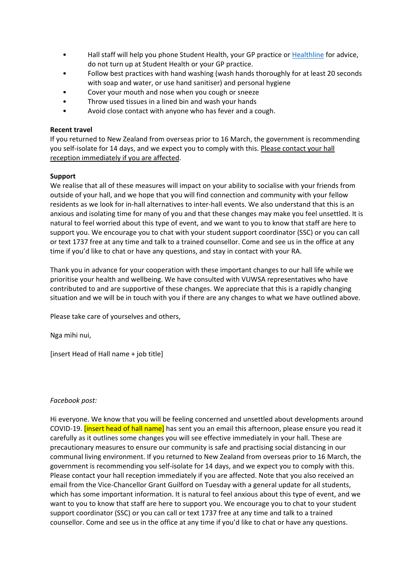- Hall staff will help you phone Student Health, your GP practice or Healthline for advice, do not turn up at Student Health or your GP practice.
- Follow best practices with hand washing (wash hands thoroughly for at least 20 seconds with soap and water, or use hand sanitiser) and personal hygiene
- Cover your mouth and nose when you cough or sneeze
- Throw used tissues in a lined bin and wash your hands
- Avoid close contact with anyone who has fever and a cough.

### **Recent travel**

If you returned to New Zealand from overseas prior to 16 March, the government is recommending you self-isolate for 14 days, and we expect you to comply with this. Please contact your hall reception immediately if you are affected.

### **Support**

We realise that all of these measures will impact on your ability to socialise with your friends from outside of your hall, and we hope that you will find connection and community with your fellow residents as we look for in‐hall alternatives to inter‐hall events. We also understand that this is an anxious and isolating time for many of you and that these changes may make you feel unsettled. It is natural to feel worried about this type of event, and we want to you to know that staff are here to support you. We encourage you to chat with your student support coordinator (SSC) or you can call or text 1737 free at any time and talk to a trained counsellor. Come and see us in the office at any time if you'd like to chat or have any questions, and stay in contact with your RA.

Thank you in advance for your cooperation with these important changes to our hall life while we prioritise your health and wellbeing. We have consulted with VUWSA representatives who have contributed to and are supportive of these changes. We appreciate that this is a rapidly changing situation and we will be in touch with you if there are any changes to what we have outlined above.

Please take care of yourselves and others,

Nga mihi nui,

[insert Head of Hall name + job title]

### *Facebook post:*

Hi everyone. We know that you will be feeling concerned and unsettled about developments around COVID-19. **[insert head of hall name]** has sent you an email this afternoon, please ensure you read it carefully as it outlines some changes you will see effective immediately in your hall. These are precautionary measures to ensure our community is safe and practising social distancing in our communal living environment. If you returned to New Zealand from overseas prior to 16 March, the government is recommending you self‐isolate for 14 days, and we expect you to comply with this. Please contact your hall reception immediately if you are affected. Note that you also received an email from the Vice‐Chancellor Grant Guilford on Tuesday with a general update for all students, which has some important information. It is natural to feel anxious about this type of event, and we want to you to know that staff are here to support you. We encourage you to chat to your student support coordinator (SSC) or you can call or text 1737 free at any time and talk to a trained counsellor. Come and see us in the office at any time if you'd like to chat or have any questions.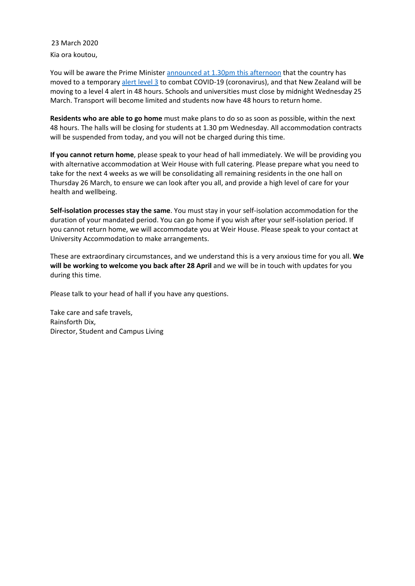Kia ora koutou, 23 March 2020

You will be aware the Prime Minister announced at 1.30pm this afternoon that the country has moved to a temporary alert level 3 to combat COVID‐19 (coronavirus), and that New Zealand will be moving to a level 4 alert in 48 hours. Schools and universities must close by midnight Wednesday 25 March. Transport will become limited and students now have 48 hours to return home.

**Residents who are able to go home** must make plans to do so as soon as possible, within the next 48 hours. The halls will be closing for students at 1.30 pm Wednesday. All accommodation contracts will be suspended from today, and you will not be charged during this time.

**If you cannot return home**, please speak to your head of hall immediately. We will be providing you with alternative accommodation at Weir House with full catering. Please prepare what you need to take for the next 4 weeks as we will be consolidating all remaining residents in the one hall on Thursday 26 March, to ensure we can look after you all, and provide a high level of care for your health and wellbeing.

**Self‐isolation processes stay the same**. You must stay in your self‐isolation accommodation for the duration of your mandated period. You can go home if you wish after your self‐isolation period. If you cannot return home, we will accommodate you at Weir House. Please speak to your contact at University Accommodation to make arrangements.

These are extraordinary circumstances, and we understand this is a very anxious time for you all. **We will be working to welcome you back after 28 April** and we will be in touch with updates for you during this time.

Please talk to your head of hall if you have any questions.

Take care and safe travels, Rainsforth Dix, Director, Student and Campus Living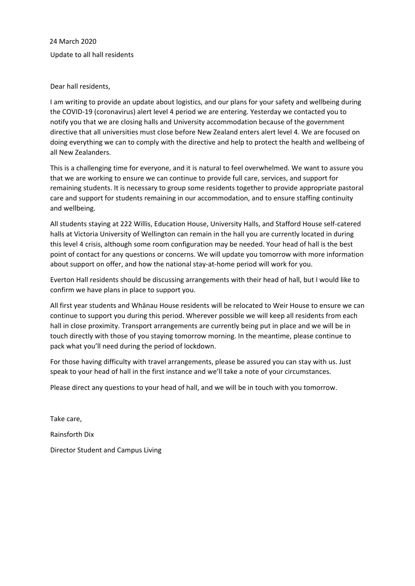Update to all hall residents 24 March 2020

### Dear hall residents,

I am writing to provide an update about logistics, and our plans for your safety and wellbeing during the COVID‐19 (coronavirus) alert level 4 period we are entering. Yesterday we contacted you to notify you that we are closing halls and University accommodation because of the government directive that all universities must close before New Zealand enters alert level 4. We are focused on doing everything we can to comply with the directive and help to protect the health and wellbeing of all New Zealanders.

This is a challenging time for everyone, and it is natural to feel overwhelmed. We want to assure you that we are working to ensure we can continue to provide full care, services, and support for remaining students. It is necessary to group some residents together to provide appropriate pastoral care and support for students remaining in our accommodation, and to ensure staffing continuity and wellbeing.

All students staying at 222 Willis, Education House, University Halls, and Stafford House self‐catered halls at Victoria University of Wellington can remain in the hall you are currently located in during this level 4 crisis, although some room configuration may be needed. Your head of hall is the best point of contact for any questions or concerns. We will update you tomorrow with more information about support on offer, and how the national stay-at-home period will work for you.

Everton Hall residents should be discussing arrangements with their head of hall, but I would like to confirm we have plans in place to support you.

All first year students and Whānau House residents will be relocated to Weir House to ensure we can continue to support you during this period. Wherever possible we will keep all residents from each hall in close proximity. Transport arrangements are currently being put in place and we will be in touch directly with those of you staying tomorrow morning. In the meantime, please continue to pack what you'll need during the period of lockdown.

For those having difficulty with travel arrangements, please be assured you can stay with us. Just speak to your head of hall in the first instance and we'll take a note of your circumstances.

Please direct any questions to your head of hall, and we will be in touch with you tomorrow.

Take care, Rainsforth Dix Director Student and Campus Living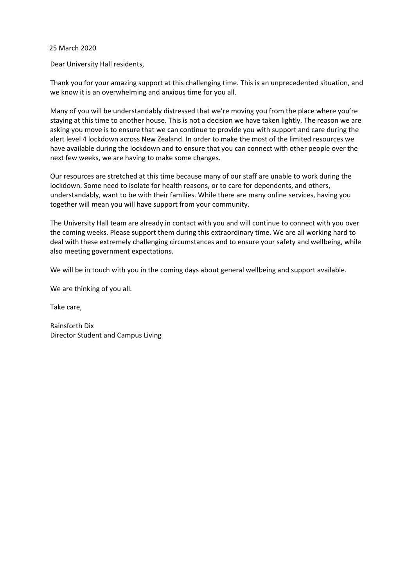Dear University Hall residents,

Thank you for your amazing support at this challenging time. This is an unprecedented situation, and we know it is an overwhelming and anxious time for you all.

Many of you will be understandably distressed that we're moving you from the place where you're staying at this time to another house. This is not a decision we have taken lightly. The reason we are asking you move is to ensure that we can continue to provide you with support and care during the alert level 4 lockdown across New Zealand. In order to make the most of the limited resources we have available during the lockdown and to ensure that you can connect with other people over the next few weeks, we are having to make some changes.

Our resources are stretched at this time because many of our staff are unable to work during the lockdown. Some need to isolate for health reasons, or to care for dependents, and others, understandably, want to be with their families. While there are many online services, having you together will mean you will have support from your community.

The University Hall team are already in contact with you and will continue to connect with you over the coming weeks. Please support them during this extraordinary time. We are all working hard to deal with these extremely challenging circumstances and to ensure your safety and wellbeing, while also meeting government expectations.

We will be in touch with you in the coming days about general wellbeing and support available.

We are thinking of you all.

Take care,

Rainsforth Dix Director Student and Campus Living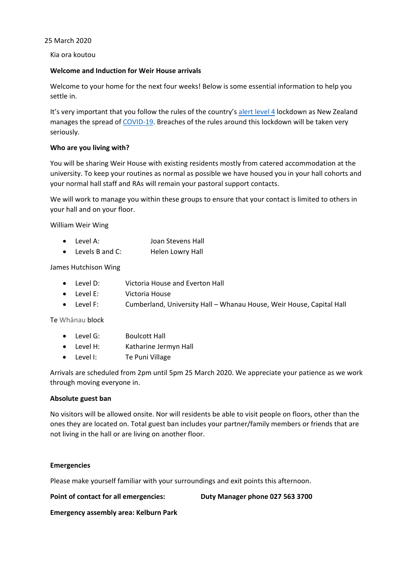Kia ora koutou

### **Welcome and Induction for Weir House arrivals**

Welcome to your home for the next four weeks! Below is some essential information to help you settle in.

It's very important that you follow the rules of the country's alert level 4 lockdown as New Zealand manages the spread of COVID-19. Breaches of the rules around this lockdown will be taken very seriously.

### **Who are you living with?**

You will be sharing Weir House with existing residents mostly from catered accommodation at the university. To keep your routines as normal as possible we have housed you in your hall cohorts and your normal hall staff and RAs will remain your pastoral support contacts.

We will work to manage you within these groups to ensure that your contact is limited to others in your hall and on your floor.

William Weir Wing

- Level A: Joan Stevens Hall
- Levels B and C: Helen Lowry Hall

James Hutchison Wing

- Level D: Victoria House and Everton Hall
- Level E: Victoria House
- Level F: Cumberland, University Hall Whanau House, Weir House, Capital Hall

Te Whānau block

- Level G: Boulcott Hall
- Level H: Katharine Jermyn Hall
- Level I: Te Puni Village

Arrivals are scheduled from 2pm until 5pm 25 March 2020. We appreciate your patience as we work through moving everyone in.

### **Absolute guest ban**

No visitors will be allowed onsite. Nor will residents be able to visit people on floors, other than the ones they are located on. Total guest ban includes your partner/family members or friends that are not living in the hall or are living on another floor.

### **Emergencies**

Please make yourself familiar with your surroundings and exit points this afternoon.

**Point of contact for all emergencies: Duty Manager phone 027 563 3700**

**Emergency assembly area: Kelburn Park**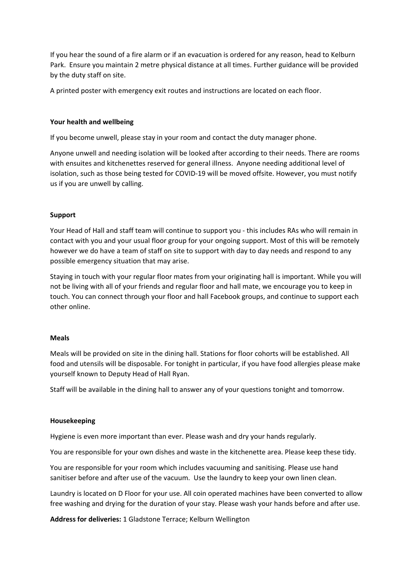If you hear the sound of a fire alarm or if an evacuation is ordered for any reason, head to Kelburn Park. Ensure you maintain 2 metre physical distance at all times. Further guidance will be provided by the duty staff on site.

A printed poster with emergency exit routes and instructions are located on each floor.

### **Your health and wellbeing**

If you become unwell, please stay in your room and contact the duty manager phone.

Anyone unwell and needing isolation will be looked after according to their needs. There are rooms with ensuites and kitchenettes reserved for general illness. Anyone needing additional level of isolation, such as those being tested for COVID‐19 will be moved offsite. However, you must notify us if you are unwell by calling.

### **Support**

Your Head of Hall and staff team will continue to support you ‐ this includes RAs who will remain in contact with you and your usual floor group for your ongoing support. Most of this will be remotely however we do have a team of staff on site to support with day to day needs and respond to any possible emergency situation that may arise.

Staying in touch with your regular floor mates from your originating hall is important. While you will not be living with all of your friends and regular floor and hall mate, we encourage you to keep in touch. You can connect through your floor and hall Facebook groups, and continue to support each other online.

### **Meals**

Meals will be provided on site in the dining hall. Stations for floor cohorts will be established. All food and utensils will be disposable. For tonight in particular, if you have food allergies please make yourself known to Deputy Head of Hall Ryan.

Staff will be available in the dining hall to answer any of your questions tonight and tomorrow.

### **Housekeeping**

Hygiene is even more important than ever. Please wash and dry your hands regularly.

You are responsible for your own dishes and waste in the kitchenette area. Please keep these tidy.

You are responsible for your room which includes vacuuming and sanitising. Please use hand sanitiser before and after use of the vacuum. Use the laundry to keep your own linen clean.

Laundry is located on D Floor for your use. All coin operated machines have been converted to allow free washing and drying for the duration of your stay. Please wash your hands before and after use.

**Address for deliveries:** 1 Gladstone Terrace; Kelburn Wellington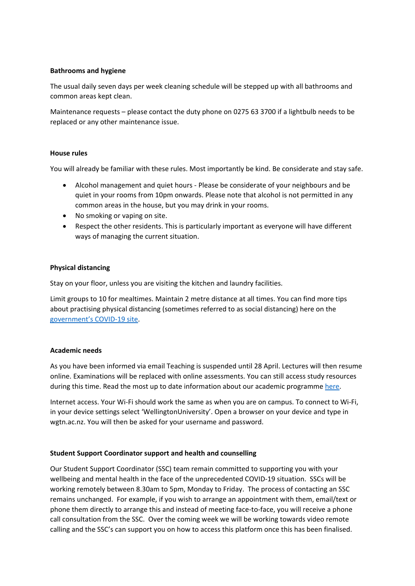### **Bathrooms and hygiene**

The usual daily seven days per week cleaning schedule will be stepped up with all bathrooms and common areas kept clean.

Maintenance requests – please contact the duty phone on 0275 63 3700 if a lightbulb needs to be replaced or any other maintenance issue.

### **House rules**

You will already be familiar with these rules. Most importantly be kind. Be considerate and stay safe.

- Alcohol management and quiet hours ‐ Please be considerate of your neighbours and be quiet in your rooms from 10pm onwards. Please note that alcohol is not permitted in any common areas in the house, but you may drink in your rooms.
- No smoking or vaping on site.
- Respect the other residents. This is particularly important as everyone will have different ways of managing the current situation.

### **Physical distancing**

Stay on your floor, unless you are visiting the kitchen and laundry facilities.

Limit groups to 10 for mealtimes. Maintain 2 metre distance at all times. You can find more tips about practising physical distancing (sometimes referred to as social distancing) here on the government's COVID‐19 site.

### **Academic needs**

As you have been informed via email Teaching is suspended until 28 April. Lectures will then resume online. Examinations will be replaced with online assessments. You can still access study resources during this time. Read the most up to date information about our academic programme here.

Internet access. Your Wi‐Fi should work the same as when you are on campus. To connect to Wi‐Fi, in your device settings select 'WellingtonUniversity'. Open a browser on your device and type in wgtn.ac.nz. You will then be asked for your username and password.

### **Student Support Coordinator support and health and counselling**

Our Student Support Coordinator (SSC) team remain committed to supporting you with your wellbeing and mental health in the face of the unprecedented COVID‐19 situation. SSCs will be working remotely between 8.30am to 5pm, Monday to Friday. The process of contacting an SSC remains unchanged. For example, if you wish to arrange an appointment with them, email/text or phone them directly to arrange this and instead of meeting face‐to‐face, you will receive a phone call consultation from the SSC. Over the coming week we will be working towards video remote calling and the SSC's can support you on how to access this platform once this has been finalised.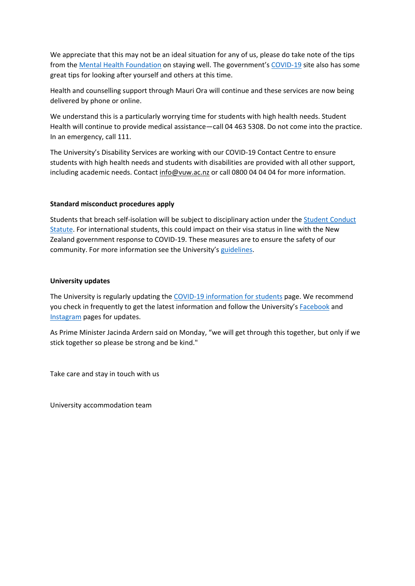We appreciate that this may not be an ideal situation for any of us, please do take note of the tips from the Mental Health Foundation on staying well. The government's COVID-19 site also has some great tips for looking after yourself and others at this time.

Health and counselling support through Mauri Ora will continue and these services are now being delivered by phone or online.

We understand this is a particularly worrying time for students with high health needs. Student Health will continue to provide medical assistance—call 04 463 5308. Do not come into the practice. In an emergency, call 111.

The University's Disability Services are working with our COVID‐19 Contact Centre to ensure students with high health needs and students with disabilities are provided with all other support, including academic needs. Contact info@vuw.ac.nz or call 0800 04 04 04 for more information.

### **Standard misconduct procedures apply**

Students that breach self‐isolation will be subject to disciplinary action under the Student Conduct Statute. For international students, this could impact on their visa status in line with the New Zealand government response to COVID‐19. These measures are to ensure the safety of our community. For more information see the University's guidelines.

### **University updates**

The University is regularly updating the COVID-19 information for students page. We recommend you check in frequently to get the latest information and follow the University's **Facebook** and Instagram pages for updates.

As Prime Minister Jacinda Ardern said on Monday, "we will get through this together, but only if we stick together so please be strong and be kind."

Take care and stay in touch with us

University accommodation team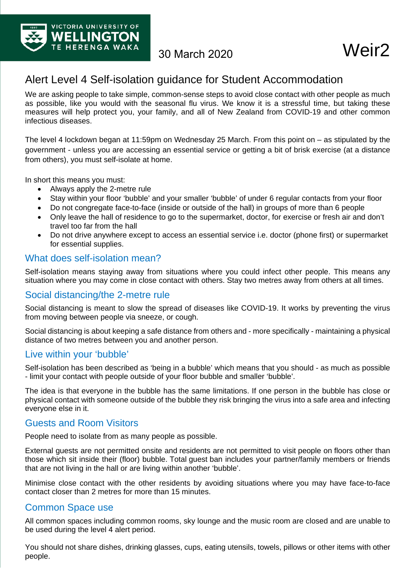

# Alert Level 4 Self-isolation guidance for Student Accommodation

We are asking people to take simple, common-sense steps to avoid close contact with other people as much as possible, like you would with the seasonal flu virus. We know it is a stressful time, but taking these measures will help protect you, your family, and all of New Zealand from COVID-19 and other common infectious diseases.

The level 4 lockdown began at 11:59pm on Wednesday 25 March. From this point on – as stipulated by the government - unless you are accessing an essential service or getting a bit of brisk exercise (at a distance from others), you must self-isolate at home.

In short this means you must:

- Always apply the 2-metre rule
- Stay within your floor 'bubble' and your smaller 'bubble' of under 6 regular contacts from your floor
- Do not congregate face-to-face (inside or outside of the hall) in groups of more than 6 people
- Only leave the hall of residence to go to the supermarket, doctor, for exercise or fresh air and don't travel too far from the hall
- Do not drive anywhere except to access an essential service i.e. doctor (phone first) or supermarket for essential supplies.

## What does self-isolation mean?

Self-isolation means staying away from situations where you could infect other people. This means any situation where you may come in close contact with others. Stay two metres away from others at all times.

## Social distancing/the 2-metre rule

Social distancing is meant to slow the spread of diseases like COVID-19. It works by preventing the virus from moving between people via sneeze, or cough.

Social distancing is about keeping a safe distance from others and - more specifically - maintaining a physical distance of two metres between you and another person.

## Live within your 'bubble'

Self-isolation has been described as 'being in a bubble' which means that you should - as much as possible - limit your contact with people outside of your floor bubble and smaller 'bubble'.

The idea is that everyone in the bubble has the same limitations. If one person in the bubble has close or physical contact with someone outside of the bubble they risk bringing the virus into a safe area and infecting everyone else in it.

## Guests and Room Visitors

People need to isolate from as many people as possible.

External guests are not permitted onsite and residents are not permitted to visit people on floors other than those which sit inside their (floor) bubble. Total guest ban includes your partner/family members or friends that are not living in the hall or are living within another 'bubble'.

Minimise close contact with the other residents by avoiding situations where you may have face-to-face contact closer than 2 metres for more than 15 minutes.

## Common Space use

All common spaces including common rooms, sky lounge and the music room are closed and are unable to be used during the level 4 alert period.

You should not share dishes, drinking glasses, cups, eating utensils, towels, pillows or other items with other people.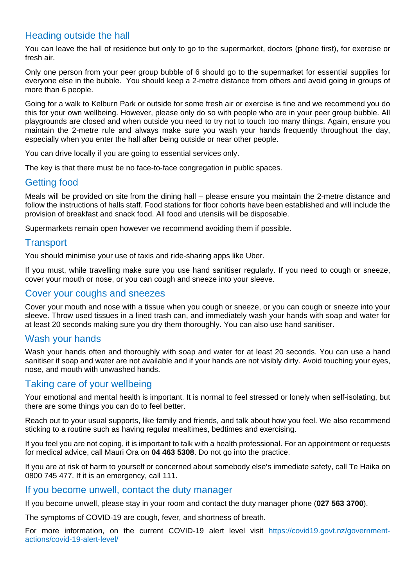# Heading outside the hall

You can leave the hall of residence but only to go to the supermarket, doctors (phone first), for exercise or fresh air.

Only one person from your peer group bubble of 6 should go to the supermarket for essential supplies for everyone else in the bubble. You should keep a 2-metre distance from others and avoid going in groups of more than 6 people.

Going for a walk to Kelburn Park or outside for some fresh air or exercise is fine and we recommend you do this for your own wellbeing. However, please only do so with people who are in your peer group bubble. All playgrounds are closed and when outside you need to try not to touch too many things. Again, ensure you maintain the 2-metre rule and always make sure you wash your hands frequently throughout the day, especially when you enter the hall after being outside or near other people.

You can drive locally if you are going to essential services only.

The key is that there must be no face-to-face congregation in public spaces.

## Getting food

Meals will be provided on site from the dining hall – please ensure you maintain the 2-metre distance and follow the instructions of halls staff. Food stations for floor cohorts have been established and will include the provision of breakfast and snack food. All food and utensils will be disposable.

Supermarkets remain open however we recommend avoiding them if possible.

## **Transport**

You should minimise your use of taxis and ride-sharing apps like Uber.

If you must, while travelling make sure you use hand sanitiser regularly. If you need to cough or sneeze, cover your mouth or nose, or you can cough and sneeze into your sleeve.

## Cover your coughs and sneezes

Cover your mouth and nose with a tissue when you cough or sneeze, or you can cough or sneeze into your sleeve. Throw used tissues in a lined trash can, and immediately wash your hands with soap and water for at least 20 seconds making sure you dry them thoroughly. You can also use hand sanitiser.

## Wash your hands

Wash your hands often and thoroughly with soap and water for at least 20 seconds. You can use a hand sanitiser if soap and water are not available and if your hands are not visibly dirty. Avoid touching your eyes, nose, and mouth with unwashed hands.

## Taking care of your wellbeing

Your emotional and mental health is important. It is normal to feel stressed or lonely when self-isolating, but there are some things you can do to feel better.

Reach out to your usual supports, like family and friends, and talk about how you feel. We also recommend sticking to a routine such as having regular mealtimes, bedtimes and exercising.

If you feel you are not coping, it is important to talk with a health professional. For an appointment or requests for medical advice, call Mauri Ora on **04 463 5308**. Do not go into the practice.

If you are at risk of harm to yourself or concerned about somebody else's immediate safety, call Te Haika on 0800 745 477. If it is an emergency, call 111.

## If you become unwell, contact the duty manager

If you become unwell, please stay in your room and contact the duty manager phone (**027 563 3700**).

The symptoms of COVID-19 are cough, fever, and shortness of breath.

For more information, on the current COVID-19 alert level visit https://covid19.govt.nz/governmentactions/covid-19-alert-level/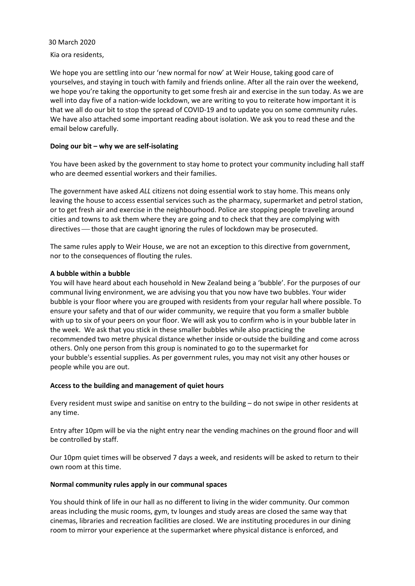Kia ora residents,

We hope you are settling into our 'new normal for now' at Weir House, taking good care of yourselves, and staying in touch with family and friends online. After all the rain over the weekend, we hope you're taking the opportunity to get some fresh air and exercise in the sun today. As we are well into day five of a nation-wide lockdown, we are writing to you to reiterate how important it is that we all do our bit to stop the spread of COVID‐19 and to update you on some community rules. We have also attached some important reading about isolation. We ask you to read these and the email below carefully.

### **Doing our bit – why we are self‐isolating**

You have been asked by the government to stay home to protect your community including hall staff who are deemed essential workers and their families.

The government have asked *ALL* citizens not doing essential work to stay home. This means only leaving the house to access essential services such as the pharmacy, supermarket and petrol station, or to get fresh air and exercise in the neighbourhood. Police are stopping people traveling around cities and towns to ask them where they are going and to check that they are complying with directives — those that are caught ignoring the rules of lockdown may be prosecuted.

The same rules apply to Weir House, we are not an exception to this directive from government, nor to the consequences of flouting the rules.

### **A bubble within a bubble**

You will have heard about each household in New Zealand being a 'bubble'. For the purposes of our communal living environment, we are advising you that you now have two bubbles. Your wider bubble is your floor where you are grouped with residents from your regular hall where possible. To ensure your safety and that of our wider community, we require that you form a smaller bubble with up to six of your peers on your floor. We will ask you to confirm who is in your bubble later in the week. We ask that you stick in these smaller bubbles while also practicing the recommended two metre physical distance whether inside or outside the building and come across others. Only one person from this group is nominated to go to the supermarket for your bubble's essential supplies. As per government rules, you may not visit any other houses or people while you are out.

### **Access to the building and management of quiet hours**

Every resident must swipe and sanitise on entry to the building – do not swipe in other residents at any time.

Entry after 10pm will be via the night entry near the vending machines on the ground floor and will be controlled by staff.

Our 10pm quiet times will be observed 7 days a week, and residents will be asked to return to their own room at this time.

### **Normal community rules apply in our communal spaces**

You should think of life in our hall as no different to living in the wider community. Our common areas including the music rooms, gym, tv lounges and study areas are closed the same way that cinemas, libraries and recreation facilities are closed. We are instituting procedures in our dining room to mirror your experience at the supermarket where physical distance is enforced, and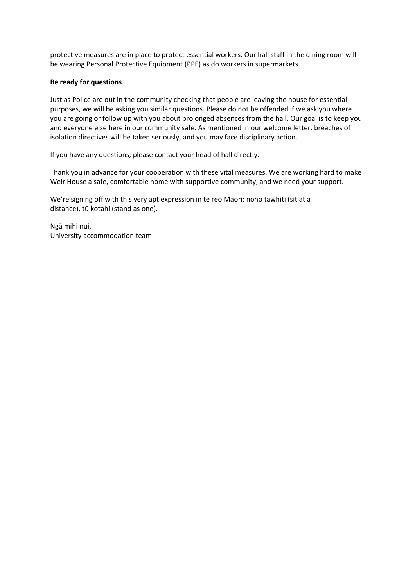protective measures are in place to protect essential workers. Our hall staff in the dining room will be wearing Personal Protective Equipment (PPE) as do workers in supermarkets.

### **Be ready for questions**

Just as Police are out in the community checking that people are leaving the house for essential purposes, we will be asking you similar questions. Please do not be offended if we ask you where you are going or follow up with you about prolonged absences from the hall. Our goal is to keep you and everyone else here in our community safe. As mentioned in our welcome letter, breaches of isolation directives will be taken seriously, and you may face disciplinary action.

If you have any questions, please contact your head of hall directly.

Thank you in advance for your cooperation with these vital measures. We are working hard to make Weir House a safe, comfortable home with supportive community, and we need your support.

We're signing off with this very apt expression in te reo Māori: noho tawhiti (sit at a distance), tū kotahi (stand as one).

Ngā mihi nui, University accommodation team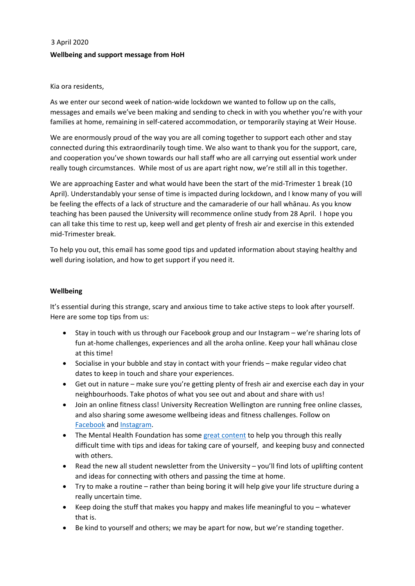# 3 April 2020 **Wellbeing and support message from HoH**

### Kia ora residents,

As we enter our second week of nation-wide lockdown we wanted to follow up on the calls, messages and emails we've been making and sending to check in with you whether you're with your families at home, remaining in self-catered accommodation, or temporarily staying at Weir House.

We are enormously proud of the way you are all coming together to support each other and stay connected during this extraordinarily tough time. We also want to thank you for the support, care, and cooperation you've shown towards our hall staff who are all carrying out essential work under really tough circumstances. While most of us are apart right now, we're still all in this together.

We are approaching Easter and what would have been the start of the mid-Trimester 1 break (10 April). Understandably your sense of time is impacted during lockdown, and I know many of you will be feeling the effects of a lack of structure and the camaraderie of our hall whānau. As you know teaching has been paused the University will recommence online study from 28 April. I hope you can all take this time to rest up, keep well and get plenty of fresh air and exercise in this extended mid‐Trimester break.

To help you out, this email has some good tips and updated information about staying healthy and well during isolation, and how to get support if you need it.

### **Wellbeing**

It's essential during this strange, scary and anxious time to take active steps to look after yourself. Here are some top tips from us:

- Stay in touch with us through our Facebook group and our Instagram we're sharing lots of fun at‐home challenges, experiences and all the aroha online. Keep your hall whānau close at this time!
- Socialise in your bubble and stay in contact with your friends make regular video chat dates to keep in touch and share your experiences.
- Get out in nature make sure you're getting plenty of fresh air and exercise each day in your neighbourhoods. Take photos of what you see out and about and share with us!
- Join an online fitness class! University Recreation Wellington are running free online classes, and also sharing some awesome wellbeing ideas and fitness challenges. Follow on Facebook and Instagram.
- The Mental Health Foundation has some great content to help you through this really difficult time with tips and ideas for taking care of yourself, and keeping busy and connected with others.
- Read the new all student newsletter from the University you'll find lots of uplifting content and ideas for connecting with others and passing the time at home.
- Try to make a routine rather than being boring it will help give your life structure during a really uncertain time.
- Keep doing the stuff that makes you happy and makes life meaningful to you whatever that is.
- Be kind to yourself and others; we may be apart for now, but we're standing together.